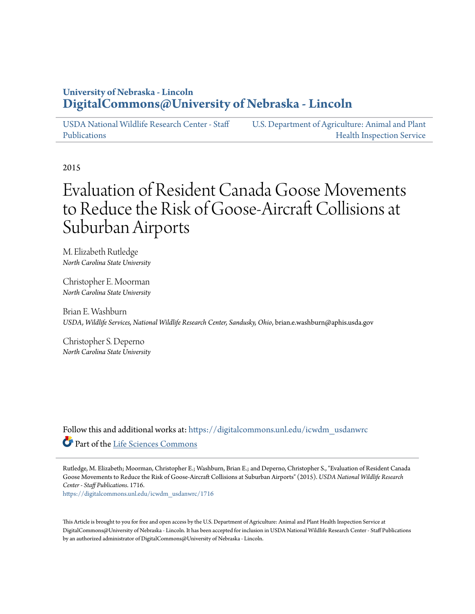# **University of Nebraska - Lincoln [DigitalCommons@University of Nebraska - Lincoln](https://digitalcommons.unl.edu?utm_source=digitalcommons.unl.edu%2Ficwdm_usdanwrc%2F1716&utm_medium=PDF&utm_campaign=PDFCoverPages)**

[USDA National Wildlife Research Center - Staff](https://digitalcommons.unl.edu/icwdm_usdanwrc?utm_source=digitalcommons.unl.edu%2Ficwdm_usdanwrc%2F1716&utm_medium=PDF&utm_campaign=PDFCoverPages) [Publications](https://digitalcommons.unl.edu/icwdm_usdanwrc?utm_source=digitalcommons.unl.edu%2Ficwdm_usdanwrc%2F1716&utm_medium=PDF&utm_campaign=PDFCoverPages)

[U.S. Department of Agriculture: Animal and Plant](https://digitalcommons.unl.edu/usdaaphis?utm_source=digitalcommons.unl.edu%2Ficwdm_usdanwrc%2F1716&utm_medium=PDF&utm_campaign=PDFCoverPages) [Health Inspection Service](https://digitalcommons.unl.edu/usdaaphis?utm_source=digitalcommons.unl.edu%2Ficwdm_usdanwrc%2F1716&utm_medium=PDF&utm_campaign=PDFCoverPages)

2015

# Evaluation of Resident Canada Goose Movements to Reduce the Risk of Goose-Aircraft Collisions at Suburban Airports

M. Elizabeth Rutledge *North Carolina State University*

Christopher E. Moorman *North Carolina State University*

Brian E. Washburn *USDA, Wildlife Services, National Wildlife Research Center, Sandusky, Ohio*, brian.e.washburn@aphis.usda.gov

Christopher S. Deperno *North Carolina State University*

Follow this and additional works at: [https://digitalcommons.unl.edu/icwdm\\_usdanwrc](https://digitalcommons.unl.edu/icwdm_usdanwrc?utm_source=digitalcommons.unl.edu%2Ficwdm_usdanwrc%2F1716&utm_medium=PDF&utm_campaign=PDFCoverPages) Part of the [Life Sciences Commons](http://network.bepress.com/hgg/discipline/1016?utm_source=digitalcommons.unl.edu%2Ficwdm_usdanwrc%2F1716&utm_medium=PDF&utm_campaign=PDFCoverPages)

Rutledge, M. Elizabeth; Moorman, Christopher E.; Washburn, Brian E.; and Deperno, Christopher S., "Evaluation of Resident Canada Goose Movements to Reduce the Risk of Goose-Aircraft Collisions at Suburban Airports" (2015). *USDA National Wildlife Research Center - Staff Publications*. 1716. [https://digitalcommons.unl.edu/icwdm\\_usdanwrc/1716](https://digitalcommons.unl.edu/icwdm_usdanwrc/1716?utm_source=digitalcommons.unl.edu%2Ficwdm_usdanwrc%2F1716&utm_medium=PDF&utm_campaign=PDFCoverPages)

This Article is brought to you for free and open access by the U.S. Department of Agriculture: Animal and Plant Health Inspection Service at DigitalCommons@University of Nebraska - Lincoln. It has been accepted for inclusion in USDA National Wildlife Research Center - Staff Publications by an authorized administrator of DigitalCommons@University of Nebraska - Lincoln.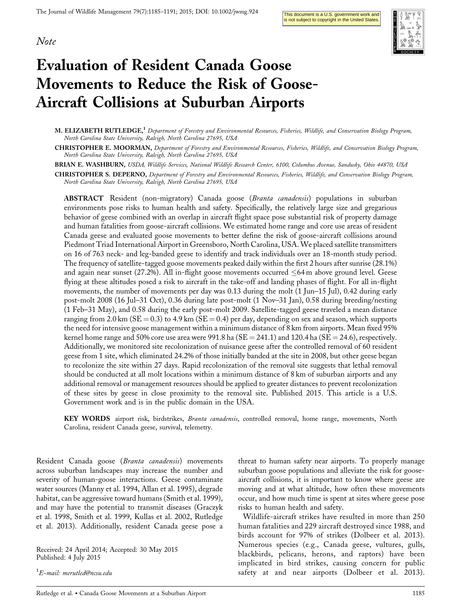



# Evaluation of Resident Canada Goose Movements to Reduce the Risk of Goose-Aircraft Collisions at Suburban Airports

M. ELIZABETH RUTLEDGE,<sup>1</sup> Department of Forestry and Environmental Resources, Fisheries, Wildlife, and Conservation Biology Program, North Carolina State University, Raleigh, North Carolina 27695, USA

CHRISTOPHER E. MOORMAN, Department of Forestry and Environmental Resources, Fisheries, Wildlife, and Conservation Biology Program, North Carolina State University, Raleigh, North Carolina 27695, USA

BRIAN E. WASHBURN, USDA, Wildlife Services, National Wildlife Research Center, 6100, Columbus Avenue, Sandusky, Ohio 44870, USA

CHRISTOPHER S. DEPERNO, Department of Forestry and Environmental Resources, Fisheries, Wildlife, and Conservation Biology Program, North Carolina State University, Raleigh, North Carolina 27695, USA

ABSTRACT Resident (non-migratory) Canada goose (Branta canadensis) populations in suburban environments pose risks to human health and safety. Specifically, the relatively large size and gregarious behavior of geese combined with an overlap in aircraft flight space pose substantial risk of property damage and human fatalities from goose-aircraft collisions. We estimated home range and core use areas of resident Canada geese and evaluated goose movements to better define the risk of goose-aircraft collisions around Piedmont Triad International Airport in Greensboro, North Carolina, USA. We placed satellite transmitters on 16 of 763 neck- and leg-banded geese to identify and track individuals over an 18-month study period. The frequency of satellite-tagged goose movements peaked daily within the first 2 hours after sunrise (28.1%) and again near sunset (27.2%). All in-flight goose movements occurred  $\leq 64$  m above ground level. Geese flying at these altitudes posed a risk to aircraft in the take-off and landing phases of flight. For all in-flight movements, the number of movements per day was 0.13 during the molt (1 Jun–15 Jul), 0.42 during early post-molt 2008 (16 Jul–31 Oct), 0.36 during late post-molt (1 Nov–31 Jan), 0.58 during breeding/nesting (1 Feb–31 May), and 0.58 during the early post-molt 2009. Satellite-tagged geese traveled a mean distance ranging from 2.0 km ( $SE = 0.3$ ) to 4.9 km ( $SE = 0.4$ ) per day, depending on sex and season, which supports the need for intensive goose management within a minimum distance of 8 km from airports. Mean fixed 95% kernel home range and 50% core use area were 991.8 ha (SE = 241.1) and 120.4 ha (SE = 24.6), respectively. Additionally, we monitored site recolonization of nuisance geese after the controlled removal of 60 resident geese from 1 site, which eliminated 24.2% of those initially banded at the site in 2008, but other geese began to recolonize the site within 27 days. Rapid recolonization of the removal site suggests that lethal removal should be conducted at all molt locations within a minimum distance of 8 km of suburban airports and any additional removal or management resources should be applied to greater distances to prevent recolonization of these sites by geese in close proximity to the removal site. Published 2015. This article is a U.S. Government work and is in the public domain in the USA.

KEY WORDS airport risk, birdstrikes, Branta canadensis, controlled removal, home range, movements, North Carolina, resident Canada geese, survival, telemetry.

Resident Canada goose (Branta canadensis) movements across suburban landscapes may increase the number and severity of human-goose interactions. Geese contaminate water sources (Manny et al. 1994, Allan et al. 1995), degrade habitat, can be aggressive toward humans (Smith et al. 1999), and may have the potential to transmit diseases (Graczyk et al. 1998, Smith et al. 1999, Kullas et al. 2002, Rutledge et al. 2013). Additionally, resident Canada geese pose a

Received: 24 April 2014; Accepted: 30 May 2015 Published: 4 July 2015

1 E-mail: merutled@ncsu.edu

threat to human safety near airports. To properly manage suburban goose populations and alleviate the risk for gooseaircraft collisions, it is important to know where geese are moving and at what altitude, how often these movements occur, and how much time is spent at sites where geese pose risks to human health and safety.

Wildlife-aircraft strikes have resulted in more than 250 human fatalities and 229 aircraft destroyed since 1988, and birds account for 97% of strikes (Dolbeer et al. 2013). Numerous species (e.g., Canada geese, vultures, gulls, blackbirds, pelicans, herons, and raptors) have been implicated in bird strikes, causing concern for public safety at and near airports (Dolbeer et al. 2013).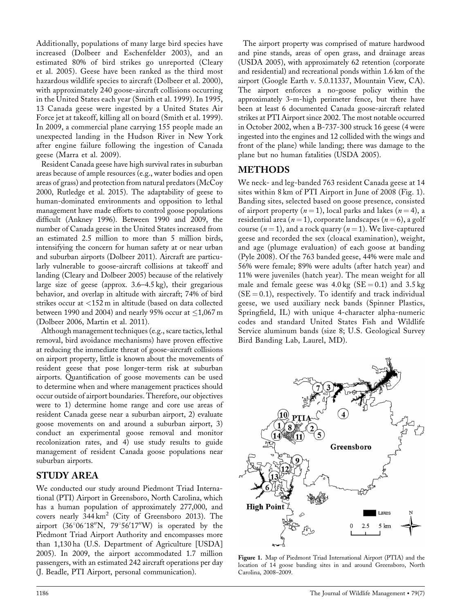Additionally, populations of many large bird species have increased (Dolbeer and Eschenfelder 2003), and an estimated 80% of bird strikes go unreported (Cleary et al. 2005). Geese have been ranked as the third most hazardous wildlife species to aircraft (Dolbeer et al. 2000), with approximately 240 goose-aircraft collisions occurring in the United States each year (Smith et al. 1999). In 1995, 13 Canada geese were ingested by a United States Air Force jet at takeoff, killing all on board (Smith et al. 1999). In 2009, a commercial plane carrying 155 people made an unexpected landing in the Hudson River in New York after engine failure following the ingestion of Canada geese (Marra et al. 2009).

Resident Canada geese have high survival rates in suburban areas because of ample resources (e.g., water bodies and open areas of grass) and protection from natural predators (McCoy 2000, Rutledge et al. 2015). The adaptability of geese to human-dominated environments and opposition to lethal management have made efforts to control goose populations difficult (Ankney 1996). Between 1990 and 2009, the number of Canada geese in the United States increased from an estimated 2.5 million to more than 5 million birds, intensifying the concern for human safety at or near urban and suburban airports (Dolbeer 2011). Aircraft are particularly vulnerable to goose-aircraft collisions at takeoff and landing (Cleary and Dolbeer 2005) because of the relatively large size of geese (approx. 3.6–4.5 kg), their gregarious behavior, and overlap in altitude with aircraft; 74% of bird strikes occur at <152 m in altitude (based on data collected between 1990 and 2004) and nearly 95% occur at  $\leq$ 1,067 m (Dolbeer 2006, Martin et al. 2011).

Although management techniques (e.g., scare tactics, lethal removal, bird avoidance mechanisms) have proven effective at reducing the immediate threat of goose-aircraft collisions on airport property, little is known about the movements of resident geese that pose longer-term risk at suburban airports. Quantification of goose movements can be used to determine when and where management practices should occur outside of airport boundaries. Therefore, our objectives were to 1) determine home range and core use areas of resident Canada geese near a suburban airport, 2) evaluate goose movements on and around a suburban airport, 3) conduct an experimental goose removal and monitor recolonization rates, and 4) use study results to guide management of resident Canada goose populations near suburban airports.

# STUDY AREA

We conducted our study around Piedmont Triad International (PTI) Airport in Greensboro, North Carolina, which has a human population of approximately 277,000, and covers nearly  $344 \text{ km}^2$  (City of Greensboro 2013). The airport  $(36^{\circ}06'18''N, 79^{\circ}56'17''W)$  is operated by the Piedmont Triad Airport Authority and encompasses more than 1,130 ha (U.S. Department of Agriculture [USDA] 2005). In 2009, the airport accommodated 1.7 million passengers, with an estimated 242 aircraft operations per day (J. Beadle, PTI Airport, personal communication).

The airport property was comprised of mature hardwood and pine stands, areas of open grass, and drainage areas (USDA 2005), with approximately 62 retention (corporate and residential) and recreational ponds within 1.6 km of the airport (Google Earth v. 5.0.11337, Mountain View, CA). The airport enforces a no-goose policy within the approximately 3-m-high perimeter fence, but there have been at least 6 documented Canada goose-aircraft related strikes at PTI Airport since 2002. The most notable occurred in October 2002, when a B-737-300 struck 16 geese (4 were ingested into the engines and 12 collided with the wings and front of the plane) while landing; there was damage to the plane but no human fatalities (USDA 2005).

# METHODS

We neck- and leg-banded 763 resident Canada geese at 14 sites within 8 km of PTI Airport in June of 2008 (Fig. 1). Banding sites, selected based on goose presence, consisted of airport property  $(n = 1)$ , local parks and lakes  $(n = 4)$ , a residential area ( $n = 1$ ), corporate landscapes ( $n = 6$ ), a golf course ( $n = 1$ ), and a rock quarry ( $n = 1$ ). We live-captured geese and recorded the sex (cloacal examination), weight, and age (plumage evaluation) of each goose at banding (Pyle 2008). Of the 763 banded geese, 44% were male and 56% were female; 89% were adults (after hatch year) and 11% were juveniles (hatch year). The mean weight for all male and female geese was  $4.0 \text{ kg}$  (SE = 0.1) and  $3.5 \text{ kg}$  $(SE = 0.1)$ , respectively. To identify and track individual geese, we used auxiliary neck bands (Spinner Plastics, Springfield, IL) with unique 4-character alpha-numeric codes and standard United States Fish and Wildlife Service aluminum bands (size 8; U.S. Geological Survey Bird Banding Lab, Laurel, MD).



Figure 1. Map of Piedmont Triad International Airport (PTIA) and the location of 14 goose banding sites in and around Greensboro, North Carolina, 2008–2009.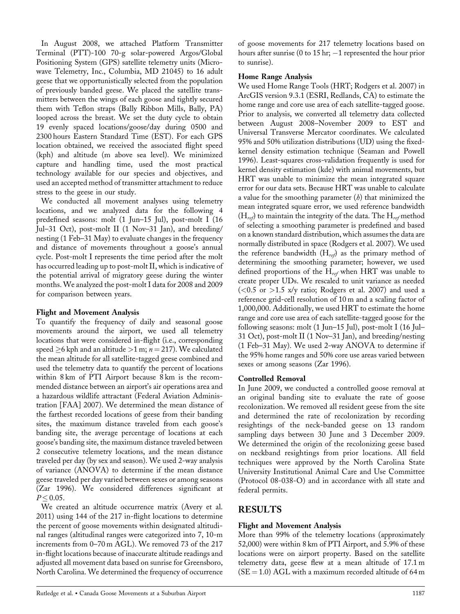In August 2008, we attached Platform Transmitter Terminal (PTT)-100 70-g solar-powered Argos/Global Positioning System (GPS) satellite telemetry units (Microwave Telemetry, Inc., Columbia, MD 21045) to 16 adult geese that we opportunistically selected from the population of previously banded geese. We placed the satellite transmitters between the wings of each goose and tightly secured them with Teflon straps (Bally Ribbon Mills, Bally, PA) looped across the breast. We set the duty cycle to obtain 19 evenly spaced locations/goose/day during 0500 and 2300 hours Eastern Standard Time (EST). For each GPS location obtained, we received the associated flight speed (kph) and altitude (m above sea level). We minimized capture and handling time, used the most practical technology available for our species and objectives, and used an accepted method of transmitter attachment to reduce stress to the geese in our study.

We conducted all movement analyses using telemetry locations, and we analyzed data for the following 4 predefined seasons: molt (1 Jun–15 Jul), post-molt I (16 Jul–31 Oct), post-molt II (1 Nov–31 Jan), and breeding/ nesting (1 Feb–31 May) to evaluate changes in the frequency and distance of movements throughout a goose's annual cycle. Post-molt I represents the time period after the molt has occurred leading up to post-molt II, which is indicative of the potential arrival of migratory geese during the winter months. We analyzed the post-molt I data for 2008 and 2009 for comparison between years.

#### Flight and Movement Analysis

To quantify the frequency of daily and seasonal goose movements around the airport, we used all telemetry locations that were considered in-flight (i.e., corresponding speed  $\geq$ 6 kph and an altitude  $>$ 1 m;  $n = 217$ ). We calculated the mean altitude for all satellite-tagged geese combined and used the telemetry data to quantify the percent of locations within 8 km of PTI Airport because 8 km is the recommended distance between an airport's air operations area and a hazardous wildlife attractant (Federal Aviation Administration [FAA] 2007). We determined the mean distance of the farthest recorded locations of geese from their banding sites, the maximum distance traveled from each goose's banding site, the average percentage of locations at each goose's banding site, the maximum distance traveled between 2 consecutive telemetry locations, and the mean distance traveled per day (by sex and season). We used 2-way analysis of variance (ANOVA) to determine if the mean distance geese traveled per day varied between sexes or among seasons (Zar 1996). We considered differences significant at  $P < 0.05$ .

We created an altitude occurrence matrix (Avery et al. 2011) using 144 of the 217 in-flight locations to determine the percent of goose movements within designated altitudinal ranges (altitudinal ranges were categorized into 7, 10-m increments from 0–70 m AGL). We removed 73 of the 217 in-flight locations because of inaccurate altitude readings and adjusted all movement data based on sunrise for Greensboro, North Carolina. We determined the frequency of occurrence

of goose movements for 217 telemetry locations based on hours after sunrise (0 to 15 hr;  $-1$  represented the hour prior to sunrise).

### Home Range Analysis

We used Home Range Tools (HRT; Rodgers et al. 2007) in ArcGIS version 9.3.1 (ESRI, Redlands, CA) to estimate the home range and core use area of each satellite-tagged goose. Prior to analysis, we converted all telemetry data collected between August 2008–November 2009 to EST and Universal Transverse Mercator coordinates. We calculated 95% and 50% utilization distributions (UD) using the fixedkernel density estimation technique (Seaman and Powell 1996). Least-squares cross-validation frequently is used for kernel density estimation (kde) with animal movements, but HRT was unable to minimize the mean integrated square error for our data sets. Because HRT was unable to calculate a value for the smoothing parameter  $(b)$  that minimized the mean integrated square error, we used reference bandwidth  $(H_{ref})$  to maintain the integrity of the data. The  $H_{ref}$  method of selecting a smoothing parameter is predefined and based on a known standard distribution, which assumes the data are normally distributed in space (Rodgers et al. 2007). We used the reference bandwidth  $(H_{ref})$  as the primary method of determining the smoothing parameter; however, we used defined proportions of the  $H_{ref}$  when HRT was unable to create proper UDs. We rescaled to unit variance as needed  $(<0.5$  or  $>1.5$  x/y ratio; Rodgers et al. 2007) and used a reference grid-cell resolution of 10 m and a scaling factor of 1,000,000. Additionally, we used HRT to estimate the home range and core use area of each satellite-tagged goose for the following seasons: molt (1 Jun–15 Jul), post-molt I (16 Jul– 31 Oct), post-molt II (1 Nov–31 Jan), and breeding/nesting (1 Feb–31 May). We used 2-way ANOVA to determine if the 95% home ranges and 50% core use areas varied between sexes or among seasons (Zar 1996).

# Controlled Removal

In June 2009, we conducted a controlled goose removal at an original banding site to evaluate the rate of goose recolonization. We removed all resident geese from the site and determined the rate of recolonization by recording resightings of the neck-banded geese on 13 random sampling days between 30 June and 3 December 2009. We determined the origin of the recolonizing geese based on neckband resightings from prior locations. All field techniques were approved by the North Carolina State University Institutional Animal Care and Use Committee (Protocol 08-038-O) and in accordance with all state and federal permits.

# RESULTS

# Flight and Movement Analysis

More than 99% of the telemetry locations (approximately 52,000) were within 8 km of PTI Airport, and 5.9% of these locations were on airport property. Based on the satellite telemetry data, geese flew at a mean altitude of 17.1 m  $(SE = 1.0)$  AGL with a maximum recorded altitude of 64 m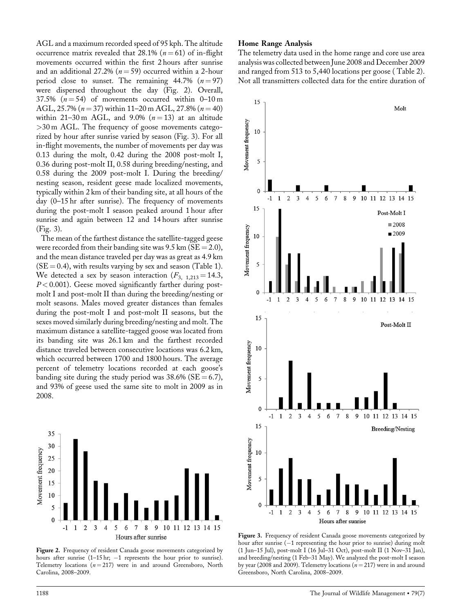AGL and a maximum recorded speed of 95 kph. The altitude occurrence matrix revealed that 28.1% ( $n = 61$ ) of in-flight movements occurred within the first 2 hours after sunrise and an additional 27.2% ( $n = 59$ ) occurred within a 2-hour period close to sunset. The remaining 44.7%  $(n = 97)$ were dispersed throughout the day (Fig. 2). Overall, 37.5%  $(n = 54)$  of movements occurred within 0–10 m AGL, 25.7% ( $n = 37$ ) within 11–20 m AGL, 27.8% ( $n = 40$ ) within 21–30 m AGL, and 9.0%  $(n=13)$  at an altitude >30 m AGL. The frequency of goose movements categorized by hour after sunrise varied by season (Fig. 3). For all in-flight movements, the number of movements per day was 0.13 during the molt, 0.42 during the 2008 post-molt I, 0.36 during post-molt II, 0.58 during breeding/nesting, and 0.58 during the 2009 post-molt I. During the breeding/ nesting season, resident geese made localized movements, typically within 2 km of their banding site, at all hours of the day (0–15 hr after sunrise). The frequency of movements during the post-molt I season peaked around 1 hour after sunrise and again between 12 and 14 hours after sunrise (Fig. 3).

The mean of the farthest distance the satellite-tagged geese were recorded from their banding site was  $9.5$  km (SE = 2.0), and the mean distance traveled per day was as great as 4.9 km  $(SE = 0.4)$ , with results varying by sex and season (Table 1). We detected a sex by season interaction  $(F_{3, 1,213} = 14.3,$  $P < 0.001$ ). Geese moved significantly farther during postmolt I and post-molt II than during the breeding/nesting or molt seasons. Males moved greater distances than females during the post-molt I and post-molt II seasons, but the sexes moved similarly during breeding/nesting and molt. The maximum distance a satellite-tagged goose was located from its banding site was 26.1 km and the farthest recorded distance traveled between consecutive locations was 6.2 km, which occurred between 1700 and 1800 hours. The average percent of telemetry locations recorded at each goose's banding site during the study period was  $38.6\%$  (SE = 6.7), and 93% of geese used the same site to molt in 2009 as in 2008.



Figure 2. Frequency of resident Canada goose movements categorized by hours after sunrise  $(1-15 \text{ hr}; -1$  represents the hour prior to sunrise). Telemetry locations  $(n = 217)$  were in and around Greensboro, North Carolina, 2008–2009.

#### Home Range Analysis

The telemetry data used in the home range and core use area analysis was collected between June 2008 and December 2009 and ranged from 513 to 5,440 locations per goose ( Table 2). Not all transmitters collected data for the entire duration of



Figure 3. Frequency of resident Canada goose movements categorized by hour after sunrise  $(-1)$  representing the hour prior to sunrise) during molt (1 Jun–15 Jul), post-molt I (16 Jul–31 Oct), post-molt II (1 Nov–31 Jan), and breeding/nesting (1 Feb–31 May). We analyzed the post-molt I season by year (2008 and 2009). Telemetry locations  $(n = 217)$  were in and around Greensboro, North Carolina, 2008–2009.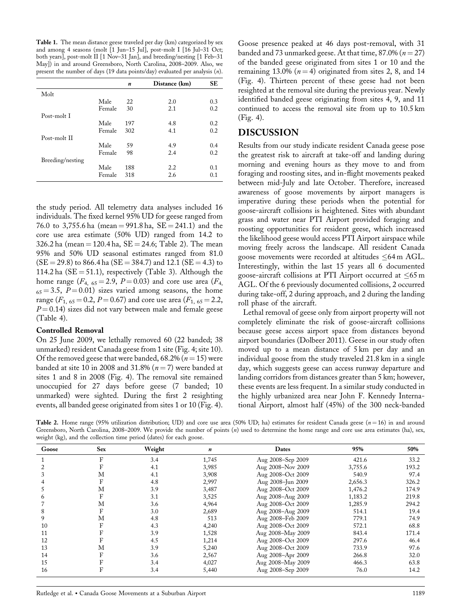Table 1. The mean distance geese traveled per day (km) categorized by sex and among 4 seasons (molt  $\check{[}1$  Jun–15 Jul $\check{]}$ , post-molt I  $[1\check{6}$  Jul–31 Oct; both years], post-molt II [1 Nov–31 Jan], and breeding/nesting [1 Feb–31 May]) in and around Greensboro, North Carolina, 2008–2009. Also, we present the number of days (19 data points/day) evaluated per analysis (n).

|                  |        | n   | Distance (km) | SE  |
|------------------|--------|-----|---------------|-----|
| Molt             |        |     |               |     |
|                  | Male   | 22  | 2.0           | 0.3 |
|                  | Female | 30  | 2.1           | 0.2 |
| Post-molt I      |        |     |               |     |
|                  | Male   | 197 | 4.8           | 0.2 |
|                  | Female | 302 | 4.1           | 0.2 |
| Post-molt II     |        |     |               |     |
|                  | Male   | 59  | 4.9           | 0.4 |
|                  | Female | 98  | 2.4           | 0.2 |
| Breeding/nesting |        |     |               |     |
|                  | Male   | 188 | 2.2           | 0.1 |
|                  | Female | 318 | 2.6           | 0.1 |

the study period. All telemetry data analyses included 16 individuals. The fixed kernel 95% UD for geese ranged from 76.0 to 3,755.6 ha (mean = 991.8 ha,  $SE = 241.1$ ) and the core use area estimate (50% UD) ranged from 14.2 to 326.2 ha (mean = 120.4 ha,  $SE = 24.6$ ; Table 2). The mean 95% and 50% UD seasonal estimates ranged from 81.0  $(SE = 29.8)$  to 866.4 ha  $(SE = 384.7)$  and 12.1  $(SE = 4.3)$  to 114.2 ha ( $SE = 51.1$ ), respectively (Table 3). Although the home range ( $F_{4, 65} = 2.9$ ,  $P = 0.03$ ) and core use area ( $F_{4, 65} = 2.9$ )  $65 = 3.5$ ,  $P = 0.01$ ) sizes varied among seasons, the home range ( $F_{1, 65} = 0.2$ ,  $P = 0.67$ ) and core use area ( $F_{1, 65} = 2.2$ ,  $P = 0.14$ ) sizes did not vary between male and female geese (Table 4).

#### Controlled Removal

On 25 June 2009, we lethally removed 60 (22 banded; 38 unmarked) resident Canada geese from 1 site (Fig. 4; site 10). Of the removed geese that were banded, 68.2% ( $n = 15$ ) were banded at site 10 in 2008 and 31.8% ( $n = 7$ ) were banded at sites 1 and 8 in 2008 (Fig. 4). The removal site remained unoccupied for 27 days before geese (7 banded; 10 unmarked) were sighted. During the first 2 resighting events, all banded geese originated from sites 1 or 10 (Fig. 4).

Goose presence peaked at 46 days post-removal, with 31 banded and 73 unmarked geese. At that time,  $87.0\%$  ( $n = 27$ ) of the banded geese originated from sites 1 or 10 and the remaining 13.0% ( $n = 4$ ) originated from sites 2, 8, and 14 (Fig. 4). Thirteen percent of these geese had not been resighted at the removal site during the previous year. Newly identified banded geese originating from sites 4, 9, and 11 continued to access the removal site from up to 10.5 km (Fig. 4).

### DISCUSSION

Results from our study indicate resident Canada geese pose the greatest risk to aircraft at take-off and landing during morning and evening hours as they move to and from foraging and roosting sites, and in-flight movements peaked between mid-July and late October. Therefore, increased awareness of goose movements by airport managers is imperative during these periods when the potential for goose-aircraft collisions is heightened. Sites with abundant grass and water near PTI Airport provided foraging and roosting opportunities for resident geese, which increased the likelihood geese would access PTI Airport airspace while moving freely across the landscape. All resident Canada goose movements were recorded at altitudes  $\leq 64$  m AGL. Interestingly, within the last 15 years all 6 documented goose-aircraft collisions at PTI Airport occurred at  $\leq 65$  m AGL. Of the 6 previously documented collisions, 2 occurred during take-off, 2 during approach, and 2 during the landing roll phase of the aircraft.

Lethal removal of geese only from airport property will not completely eliminate the risk of goose-aircraft collisions because geese access airport space from distances beyond airport boundaries (Dolbeer 2011). Geese in our study often moved up to a mean distance of 5 km per day and an individual goose from the study traveled 21.8 km in a single day, which suggests geese can access runway departure and landing corridors from distances greater than 5 km; however, these events are less frequent. In a similar study conducted in the highly urbanized area near John F. Kennedy International Airport, almost half (45%) of the 300 neck-banded

Table 2. Home range (95% utilization distribution; UD) and core use area (50% UD; ha) estimates for resident Canada geese  $(n=16)$  in and around Greensboro, North Carolina, 2008–2009. We provide the number of points (n) used to determine the home range and core use area estimates (ha), sex, weight (kg), and the collection time period (dates) for each goose.

| Goose | <b>Sex</b> | Weight | n     | Dates             | 95%     | 50%   |
|-------|------------|--------|-------|-------------------|---------|-------|
|       | F          | 3.4    | 1,745 | Aug 2008-Sep 2009 | 421.6   | 33.2  |
|       |            | 4.1    | 3,985 | Aug 2008-Nov 2009 | 3,755.6 | 193.2 |
|       | М          | 4.1    | 3,908 | Aug 2008-Oct 2009 | 540.9   | 97.4  |
|       | F          | 4.8    | 2,997 | Aug 2008-Jun 2009 | 2,656.3 | 326.2 |
|       | М          | 3.9    | 3,487 | Aug 2008-Oct 2009 | 1,476.2 | 174.9 |
| h     | F          | 3.1    | 3,525 | Aug 2008-Aug 2009 | 1,183.2 | 219.8 |
|       | M          | 3.6    | 4,964 | Aug 2008-Oct 2009 | 1,285.9 | 294.2 |
| 8     | F          | 3.0    | 2,689 | Aug 2008-Aug 2009 | 514.1   | 19.4  |
| 9     | M          | 4.8    | 513   | Aug 2008-Feb 2009 | 779.1   | 74.9  |
| 10    | F          | 4.3    | 4,240 | Aug 2008-Oct 2009 | 572.1   | 68.8  |
| 11    |            | 3.9    | 1,528 | Aug 2008-May 2009 | 843.4   | 171.4 |
| 12    |            | 4.5    | 1,214 | Aug 2008-Oct 2009 | 297.6   | 46.4  |
| 13    | M          | 3.9    | 5,240 | Aug 2008-Oct 2009 | 733.9   | 97.6  |
| 14    | F          | 3.6    | 2,567 | Aug 2008-Apr 2009 | 266.8   | 32.0  |
| 15    |            | 3.4    | 4,027 | Aug 2008-May 2009 | 466.3   | 63.8  |
| 16    | F          | 3.4    | 5,440 | Aug 2008-Sep 2009 | 76.0    | 14.2  |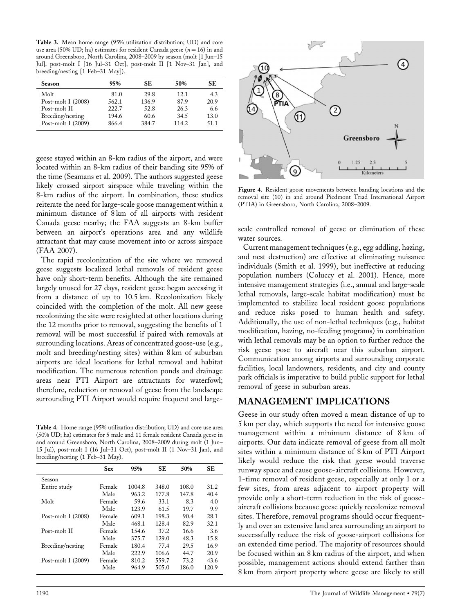Table 3. Mean home range (95% utilization distribution; UD) and core use area (50% UD; ha) estimates for resident Canada geese ( $n = 16$ ) in and around Greensboro, North Carolina, 2008–2009 by season (molt [1 Jun–15 Jul], post-molt I [16 Jul–31 Oct], post-molt II [1 Nov–31 Jan], and breeding/nesting [1 Feb–31 May]).

| <b>Season</b>        | 95%   | SE.   | 50%   | SE   |
|----------------------|-------|-------|-------|------|
| Molt                 | 81.0  | 29.8  | 12.1  | 4.3  |
| Post-molt I $(2008)$ | 562.1 | 136.9 | 87.9  | 20.9 |
| Post-molt II         | 222.7 | 52.8  | 26.3  | 6.6  |
| Breeding/nesting     | 194.6 | 60.6  | 34.5  | 13.0 |
| Post-molt I (2009)   | 866.4 | 384.7 | 114.2 | 51.1 |

geese stayed within an 8-km radius of the airport, and were located within an 8-km radius of their banding site 95% of the time (Seamans et al. 2009). The authors suggested geese likely crossed airport airspace while traveling within the 8-km radius of the airport. In combination, these studies reiterate the need for large-scale goose management within a minimum distance of 8 km of all airports with resident Canada geese nearby; the FAA suggests an 8-km buffer between an airport's operations area and any wildlife attractant that may cause movement into or across airspace (FAA 2007).

The rapid recolonization of the site where we removed geese suggests localized lethal removals of resident geese have only short-term benefits. Although the site remained largely unused for 27 days, resident geese began accessing it from a distance of up to 10.5 km. Recolonization likely coincided with the completion of the molt. All new geese recolonizing the site were resighted at other locations during the 12 months prior to removal, suggesting the benefits of 1 removal will be most successful if paired with removals at surrounding locations. Areas of concentrated goose-use (e.g., molt and breeding/nesting sites) within 8 km of suburban airports are ideal locations for lethal removal and habitat modification. The numerous retention ponds and drainage areas near PTI Airport are attractants for waterfowl; therefore, reduction or removal of geese from the landscape surrounding PTI Airport would require frequent and large-

Table 4. Home range (95% utilization distribution; UD) and core use area (50% UD; ha) estimates for 5 male and 11 female resident Canada geese in and around Greensboro, North Carolina, 2008–2009 during molt (1 Jun– 15 Jul), post-molt I (16 Jul–31 Oct), post-molt II (1 Nov–31 Jan), and breeding/nesting (1 Feb–31 May).

|                      | Sex    | 95%    | <b>SE</b> | 50%   | SE    |
|----------------------|--------|--------|-----------|-------|-------|
| Season               |        |        |           |       |       |
| Entire study         | Female | 1004.8 | 348.0     | 108.0 | 31.2  |
|                      | Male   | 963.2  | 177.8     | 147.8 | 40.4  |
| Molt                 | Female | 59.6   | 33.1      | 83    | 4.0   |
|                      | Male   | 123.9  | 61.5      | 19.7  | 99    |
| Post-molt I $(2008)$ | Female | 609.1  | 198.3     | 90.4  | 28.1  |
|                      | Male   | 468.1  | 128.4     | 82.9  | 32.1  |
| Post-molt II         | Female | 154.6  | 37.2      | 16.6  | 3.6   |
|                      | Male   | 375.7  | 129.0     | 48.3  | 15.8  |
| Breeding/nesting     | Female | 180.4  | 77.4      | 29.5  | 16.9  |
|                      | Male   | 222.9  | 106.6     | 44.7  | 20.9  |
| Post-molt I $(2009)$ | Female | 810.2  | 559.7     | 73.2  | 43.6  |
|                      | Male   | 964.9  | 505.0     | 186.0 | 120.9 |
|                      |        |        |           |       |       |



Figure 4. Resident goose movements between banding locations and the removal site (10) in and around Piedmont Triad International Airport (PTIA) in Greensboro, North Carolina, 2008–2009.

scale controlled removal of geese or elimination of these water sources.

Current management techniques (e.g., egg addling, hazing, and nest destruction) are effective at eliminating nuisance individuals (Smith et al. 1999), but ineffective at reducing population numbers (Coluccy et al. 2001). Hence, more intensive management strategies (i.e., annual and large-scale lethal removals, large-scale habitat modification) must be implemented to stabilize local resident goose populations and reduce risks posed to human health and safety. Additionally, the use of non-lethal techniques (e.g., habitat modification, hazing, no-feeding programs) in combination with lethal removals may be an option to further reduce the risk geese pose to aircraft near this suburban airport. Communication among airports and surrounding corporate facilities, local landowners, residents, and city and county park officials is imperative to build public support for lethal removal of geese in suburban areas.

# MANAGEMENT IMPLICATIONS

Geese in our study often moved a mean distance of up to 5 km per day, which supports the need for intensive goose management within a minimum distance of 8 km of airports. Our data indicate removal of geese from all molt sites within a minimum distance of 8 km of PTI Airport likely would reduce the risk that geese would traverse runway space and cause goose-aircraft collisions. However, 1-time removal of resident geese, especially at only 1 or a few sites, from areas adjacent to airport property will provide only a short-term reduction in the risk of gooseaircraft collisions because geese quickly recolonize removal sites. Therefore, removal programs should occur frequently and over an extensive land area surrounding an airport to successfully reduce the risk of goose-airport collisions for an extended time period. The majority of resources should be focused within an 8 km radius of the airport, and when possible, management actions should extend farther than 8 km from airport property where geese are likely to still